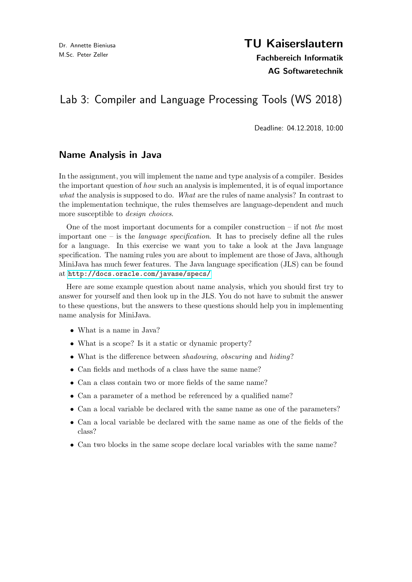# TU Kaiserslautern

Fachbereich Informatik AG Softwaretechnik

## Lab 3: Compiler and Language Processing Tools (WS 2018)

Deadline: 04.12.2018, 10:00

#### Name Analysis in Java

In the assignment, you will implement the name and type analysis of a compiler. Besides the important question of how such an analysis is implemented, it is of equal importance what the analysis is supposed to do. What are the rules of name analysis? In contrast to the implementation technique, the rules themselves are language-dependent and much more susceptible to design choices.

One of the most important documents for a compiler construction – if not the most important one – is the *language specification*. It has to precisely define all the rules for a language. In this exercise we want you to take a look at the Java language specification. The naming rules you are about to implement are those of Java, although MiniJava has much fewer features. The Java language specification (JLS) can be found at <http://docs.oracle.com/javase/specs/>

Here are some example question about name analysis, which you should first try to answer for yourself and then look up in the JLS. You do not have to submit the answer to these questions, but the answers to these questions should help you in implementing name analysis for MiniJava.

- What is a name in Java?
- What is a scope? Is it a static or dynamic property?
- What is the difference between *shadowing*, *obscuring* and *hiding*?
- Can fields and methods of a class have the same name?
- Can a class contain two or more fields of the same name?
- Can a parameter of a method be referenced by a qualified name?
- Can a local variable be declared with the same name as one of the parameters?
- Can a local variable be declared with the same name as one of the fields of the class?
- Can two blocks in the same scope declare local variables with the same name?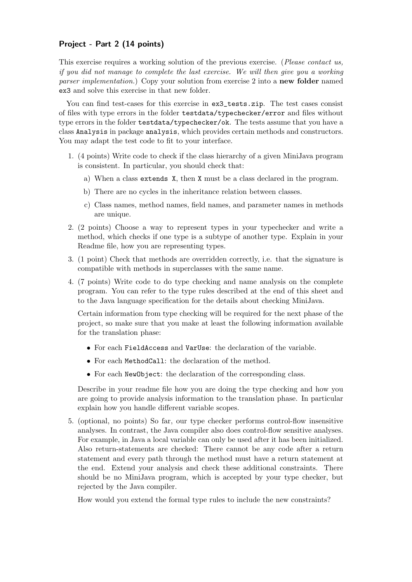#### Project - Part 2 (14 points)

This exercise requires a working solution of the previous exercise. (Please contact us, if you did not manage to complete the last exercise. We will then give you a working parser implementation.) Copy your solution from exercise 2 into a **new folder** named ex3 and solve this exercise in that new folder.

You can find test-cases for this exercise in  $ex3$ \_tests.zip. The test cases consist of files with type errors in the folder testdata/typechecker/error and files without type errors in the folder testdata/typechecker/ok. The tests assume that you have a class Analysis in package analysis, which provides certain methods and constructors. You may adapt the test code to fit to your interface.

- 1. (4 points) Write code to check if the class hierarchy of a given MiniJava program is consistent. In particular, you should check that:
	- a) When a class extends X, then X must be a class declared in the program.
	- b) There are no cycles in the inheritance relation between classes.
	- c) Class names, method names, field names, and parameter names in methods are unique.
- 2. (2 points) Choose a way to represent types in your typechecker and write a method, which checks if one type is a subtype of another type. Explain in your Readme file, how you are representing types.
- 3. (1 point) Check that methods are overridden correctly, i.e. that the signature is compatible with methods in superclasses with the same name.
- 4. (7 points) Write code to do type checking and name analysis on the complete program. You can refer to the type rules described at the end of this sheet and to the Java language specification for the details about checking MiniJava.

Certain information from type checking will be required for the next phase of the project, so make sure that you make at least the following information available for the translation phase:

- For each FieldAccess and VarUse: the declaration of the variable.
- For each MethodCall: the declaration of the method.
- For each NewObject: the declaration of the corresponding class.

Describe in your readme file how you are doing the type checking and how you are going to provide analysis information to the translation phase. In particular explain how you handle different variable scopes.

5. (optional, no points) So far, our type checker performs control-flow insensitive analyses. In contrast, the Java compiler also does control-flow sensitive analyses. For example, in Java a local variable can only be used after it has been initialized. Also return-statements are checked: There cannot be any code after a return statement and every path through the method must have a return statement at the end. Extend your analysis and check these additional constraints. There should be no MiniJava program, which is accepted by your type checker, but rejected by the Java compiler.

How would you extend the formal type rules to include the new constraints?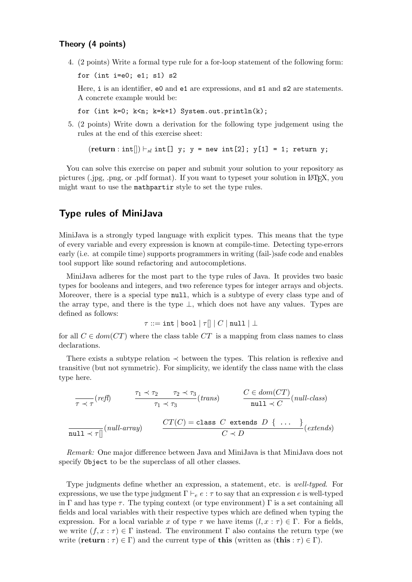#### Theory (4 points)

4. (2 points) Write a formal type rule for a for-loop statement of the following form:

for (int  $i=0$ ; e1; s1) s2

Here, i is an identifier, e0 and e1 are expressions, and s1 and s2 are statements. A concrete example would be:

for (int k=0; k<n; k=k+1) System.out.println(k);

5. (2 points) Write down a derivation for the following type judgement using the rules at the end of this exercise sheet:

 $(return : int[] \mid \vdash_{sl} int[] y; y = new int[2]; y[1] = 1; return y;$ 

You can solve this exercise on paper and submit your solution to your repository as pictures (.jpg, .png, or .pdf format). If you want to typeset your solution in LATEX, you might want to use the mathpartir style to set the type rules.

### Type rules of MiniJava

MiniJava is a strongly typed language with explicit types. This means that the type of every variable and every expression is known at compile-time. Detecting type-errors early (i.e. at compile time) supports programmers in writing (fail-)safe code and enables tool support like sound refactoring and autocompletions.

MiniJava adheres for the most part to the type rules of Java. It provides two basic types for booleans and integers, and two reference types for integer arrays and objects. Moreover, there is a special type null, which is a subtype of every class type and of the array type, and there is the type  $\perp$ , which does not have any values. Types are defined as follows:

$$
\tau ::= \mathtt{int} \mid \mathtt{bool} \mid \tau[] \mid C \mid \mathtt{null} \mid \bot
$$

for all  $C \in dom(CT)$  where the class table  $CT$  is a mapping from class names to class declarations.

There exists a subtype relation  $\prec$  between the types. This relation is reflexive and transitive (but not symmetric). For simplicity, we identify the class name with the class type here.

$$
\frac{\tau_1 \prec \tau}{\tau \prec \tau} (refl) \qquad \frac{\tau_1 \prec \tau_2 \qquad \tau_2 \prec \tau_3}{\tau_1 \prec \tau_3} (trans) \qquad \frac{C \in dom(CT)}{null \prec C} (null-class)
$$
\n
$$
\frac{\text{curl } \prec \tau}{null \prec \tau[]} (null-array) \qquad \frac{CT(C) = \text{class } C \text{ extends } D \{ \dots \}}{C \prec D} (extends)
$$

Remark: One major difference between Java and MiniJava is that MiniJava does not specify Object to be the superclass of all other classes.

Type judgments define whether an expression, a statement, etc. is well-typed. For expressions, we use the type judgment  $\Gamma \vdash_e e : \tau$  to say that an expression e is well-typed in Γ and has type  $\tau$ . The typing context (or type environment) Γ is a set containing all fields and local variables with their respective types which are defined when typing the expression. For a local variable x of type  $\tau$  we have items  $(l, x : \tau) \in \Gamma$ . For a fields, we write  $(f, x : \tau) \in \Gamma$  instead. The environment  $\Gamma$  also contains the return type (we write (return :  $\tau$ )  $\in \Gamma$ ) and the current type of this (written as (this :  $\tau$ )  $\in \Gamma$ ).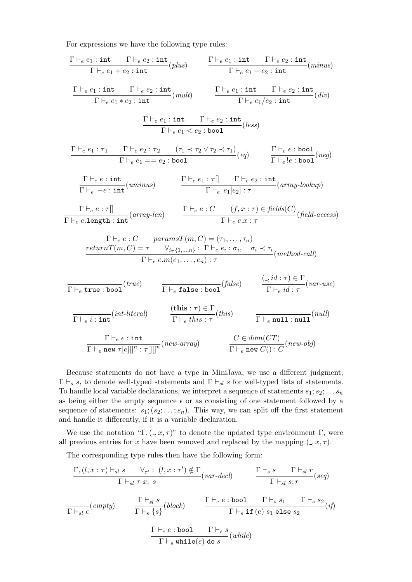For expressions we have the following type rules:

$$
\frac{\Gamma\vdash_e e_1: \text{int} \quad \Gamma\vdash_e e_2: \text{int}}{\Gamma\vdash_e e_1 + e_2: \text{int}}(plus) \qquad \frac{\Gamma\vdash_e e_1: \text{int} \quad \Gamma\vdash_e e_2: \text{int}}{\Gamma\vdash_e e_1 + e_2: \text{int}}(minus) \qquad \frac{\Gamma\vdash_e e_1: \text{int} \quad \Gamma\vdash_e e_2: \text{int}}{\Gamma\vdash_e e_1 + e_2: \text{int}}(div) \qquad \frac{\Gamma\vdash_e e_1: \text{int} \quad \Gamma\vdash_e e_2: \text{int}}{\Gamma\vdash_e e_1 + e_2: \text{int}}(div) \qquad \frac{\Gamma\vdash_e e_1: \text{int} \quad \Gamma\vdash_e e_2: \text{int}}{\Gamma\vdash_e e_1 + e_2: \text{bool}}(les) \qquad \frac{\Gamma\vdash_e e_1: \text{int} \quad \Gamma\vdash_e e_2: \text{bool}}{\Gamma\vdash_e e_1 = e_2: \text{bool}}(es) \qquad \frac{\Gamma\vdash_e e: \text{bool}}{\Gamma\vdash_e e_1 = e_2: \text{bool}}(neg) \qquad \frac{\Gamma\vdash_e e: \text{bool}}{\Gamma\vdash_e e_1 = e_2: \text{bool}}(neg) \qquad \frac{\Gamma\vdash_e e: \text{int}}{\Gamma\vdash_e e_1 = e_2: \text{int}}(uminus) \qquad \frac{\Gamma\vdash_e e: \text{int}}{\Gamma\vdash_e e_1 = e_2: \text{int}}(array\text{-}lookup)}{\Gamma\vdash_e e_1 = e_2: \text{int}}(mminus) \qquad \frac{\Gamma\vdash_e e: C \quad (f, x: \tau) \in \text{fields}(C)}{\Gamma\vdash_e e. \text{length}: \text{int}}(med) \qquad \frac{\Gamma\vdash_e e: C \quad (f, x: \tau) \in \text{fields}(C)}{\Gamma\vdash_e e. \text{length}}(med)}{\Gamma\vdash_e e. \text{int}}(field \text{-}access) \qquad \frac{\text{return}(T(m, C) = \tau \quad \forall i \in \{1, \dots, n\}}{\Gamma\vdash_e e.m(e_1, \dots, e_n): \tau} (method \text{-}call) \qquad \frac{\left(\cdot, id : \tau\right) \in \Gamma}{
$$

Because statements do not have a type in MiniJava, we use a different judgment,  $\Gamma \vdash_s s$ , to denote well-typed statements and  $\Gamma \vdash_{sl} s$  for well-typed lists of statements. To handle local variable declarations, we interpret a sequence of statements  $s_1; s_2; \ldots s_n$ as being either the empty sequence  $\epsilon$  or as consisting of one statement followed by a sequence of statements:  $s_1; (s_2; \ldots; s_n)$ . This way, we can split off the first statement and handle it differently, if it is a variable declaration.

We use the notation "Γ,  $(.,x,\tau)$ " to denote the updated type environment Γ, were all previous entries for x have been removed and replaced by the mapping  $(0, x, \tau)$ .

The corresponding type rules then have the following form:

$$
\frac{\Gamma,(l,x:\tau) \vdash_{sl} s \qquad \forall_{\tau'} : (l,x:\tau') \notin \Gamma}{\Gamma \vdash_{sl} \tau x; s} (var-decl) \qquad \frac{\Gamma \vdash_{s} s \qquad \Gamma \vdash_{sl} r}{\Gamma \vdash_{sl} s; r} (seq)
$$
\n
$$
\frac{\Gamma \vdash_{sl} s}{\Gamma \vdash_{sl} \epsilon} (empty) \qquad \frac{\Gamma \vdash_{sl} s}{\Gamma \vdash_{s} \{s\}} (block) \qquad \frac{\Gamma \vdash_{e} e : \text{bool} \qquad \Gamma \vdash_{s} s_{1} \qquad \Gamma \vdash_{s} s_{2}}{\Gamma \vdash_{s} \text{ if } (e) s_{1} \text{ else } s_{2}} (if)
$$
\n
$$
\frac{\Gamma \vdash_{e} e : \text{bool} \qquad \Gamma \vdash_{s} s}{\Gamma \vdash_{s} \text{while } (e) \text{ do } s} (while)
$$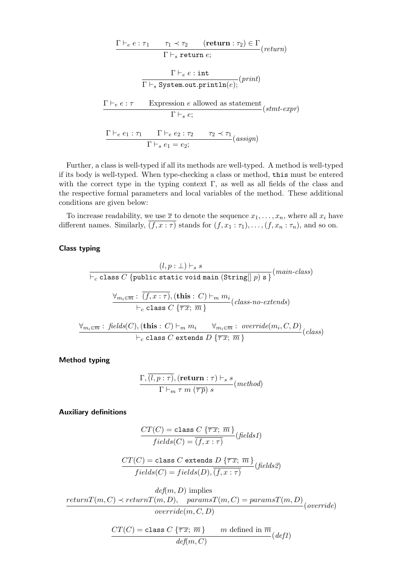$$
\frac{\Gamma \vdash_e e : \tau_1 \qquad \tau_1 \prec \tau_2 \qquad (\text{return} : \tau_2) \in \Gamma}{\Gamma \vdash_s \text{ return } e;}
$$
\n
$$
\frac{\Gamma \vdash_e e : \text{int}}{\Gamma \vdash_s \text{ System.out.println}(e);} (print)
$$
\n
$$
\frac{\Gamma \vdash_e e : \tau \qquad \text{Expression } e \text{ allowed as statement}}{\Gamma \vdash_s e;}
$$
\n
$$
\frac{\Gamma \vdash_e e_1 : \tau_1 \qquad \Gamma \vdash_e e_2 : \tau_2 \qquad \tau_2 \prec \tau_1}{\Gamma \vdash_s e_1 = e_2;}
$$
\n(assign)

Further, a class is well-typed if all its methods are well-typed. A method is well-typed if its body is well-typed. When type-checking a class or method, this must be entered with the correct type in the typing context  $\Gamma$ , as well as all fields of the class and the respective formal parameters and local variables of the method. These additional conditions are given below:

To increase readability, we use  $\bar{x}$  to denote the sequence  $x_1, \ldots, x_n$ , where all  $x_i$  have different names. Similarly,  $\overline{(f, x : \tau)}$  stands for  $(f, x_1 : \tau_1), \ldots, (f, x_n : \tau_n)$ , and so on.

#### Class typing

$$
(l, p: \bot) \vdash_s s
$$
\n
$$
\vdash_c \text{class } C \text{ {public static void main (String[] } p) s }^{\text{(main-class)}}
$$
\n
$$
\frac{\forall_{m_i \in \overline{m} : \overline{(f, x: \tau)}, (\text{this}: C) \vdash_m m_i}{\vdash_c \text{ class } C \text{ { } \overline{\tau} \overline{x}; \overline{m} \text{ }}} (class-no-extends)}
$$
\n
$$
\frac{\forall_{m_i \in \overline{m} : \text{ fields}(C), (\text{this}: C) \vdash_m m_i \quad \forall_{m_i \in \overline{m} : \text{ override}(m_i, C, D)}}{\vdash_c \text{ class } C \text{ extends } D \text{ { } \overline{\tau} \overline{x}; \overline{m} \text{ }}} (class)
$$

Method typing

$$
\frac{\Gamma,(l,p:\tau),(\textbf{return}:\tau) \vdash_s s}{\Gamma \vdash_m \tau m \;(\overline{\tau p}) \;s}(\textit{method})
$$

Auxiliary definitions

$$
\frac{CT(C) = \text{class } C \left\{ \overline{\tau x}; \overline{m} \right\}}{fields(C) = \overline{(f, x : \tau)}} (fields1)
$$

$$
\frac{CT(C) = \text{class } C \text{ extends } D \{\overline{\tau x}; \ \overline{m}\}}{fields(C) = fields(D), \overline{(f, x : \tau)}} (fields2)
$$

$$
def(m, D) \implies
$$
  
return $T(m, C) \prec return T(m, D)$ , 
$$
paramsT(m, C) = paramsT(m, D)
$$
  
override $(m, C, D)$ 

$$
\frac{CT(C) = \text{class } C \left\{ \overline{\tau} \overline{x}; \ \overline{m} \right\} \qquad m \ \text{defined in } \overline{m}}{\text{def}(m, C)} \left( \text{def1} \right)
$$